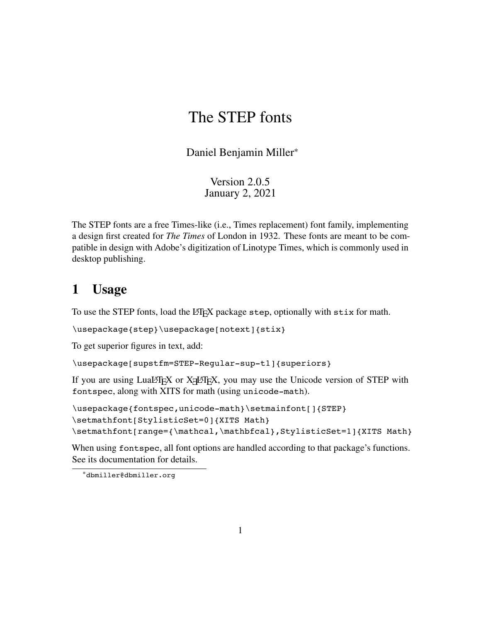## The STEP fonts

Daniel Benjamin Miller<sup>∗</sup>

Version 2.0.5 January 2, 2021

The STEP fonts are a free Times-like (i.e., Times replacement) font family, implementing a design first created for *The Times* of London in 1932. These fonts are meant to be compatible in design with Adobe's digitization of Linotype Times, which is commonly used in desktop publishing.

### **1 Usage**

To use the STEP fonts, load the LATEX package step, optionally with stix for math.

```
\usepackage{step}\usepackage[notext]{stix}
```
To get superior figures in text, add:

\usepackage[supstfm=STEP-Regular-sup-t1]{superiors}

If you are using LuaL<sup>AT</sup>EX or X<sub>E</sub>LATEX, you may use the Unicode version of STEP with fontspec, along with XITS for math (using unicode-math).

```
\usepackage{fontspec,unicode-math}\setmainfont[]{STEP}
\setmathfont[StylisticSet=0]{XITS Math}
\setmathfont[range={\mathcal,\mathbfcal},StylisticSet=1]{XITS Math}
```
When using fontspec, all font options are handled according to that package's functions. See its documentation for details.

<sup>∗</sup>dbmiller@dbmiller.org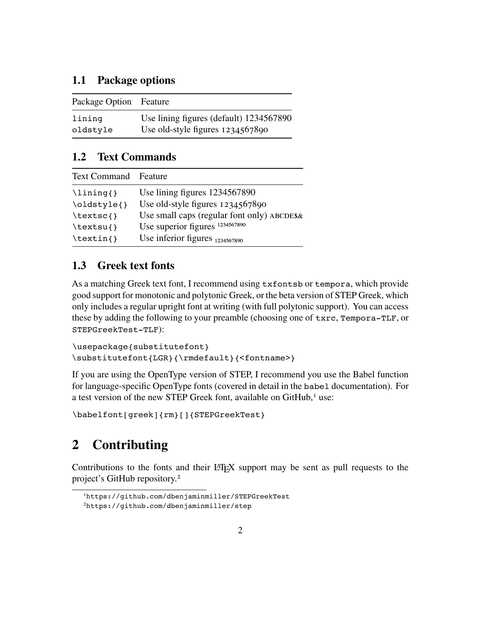#### **1.1 Package options**

| Package Option Feature |                                         |
|------------------------|-----------------------------------------|
| lining                 | Use lining figures (default) 1234567890 |
| oldstyle               | Use old-style figures 1234567890        |

#### **1.2 Text Commands**

| <b>Text Command</b> Feature |                                            |
|-----------------------------|--------------------------------------------|
| $\langle$ lining{}          | Use lining figures 1234567890              |
| \oldstyle{}                 | Use old-style figures $1234567890$         |
| $\textsc{t}$                | Use small caps (regular font only) ABCDES& |
| $\text{textsu}$             | Use superior figures 1234567890            |
| $\text{textin}\$            | Use inferior figures $_{1234567890}$       |
|                             |                                            |

#### **1.3 Greek text fonts**

As a matching Greek text font, I recommend using txfontsb or tempora, which provide good support for monotonic and polytonic Greek, or the beta version of STEP Greek, which only includes a regular upright font at writing (with full polytonic support). You can access these by adding the following to your preamble (choosing one of txrc, Tempora-TLF, or STEPGreekTest-TLF):

```
\usepackage{substitutefont}
\substitutefont{LGR}{\rmdefault}{<fontname>}
```
If you are using the OpenType version of STEP, I recommend you use the Babel function for language-specific OpenType fonts (covered in detail in the babel documentation). For a test version of the new STEP Greek font, available on GitHub,<sup>1</sup> use:

\babelfont[greek]{rm}[]{STEPGreekTest}

### **2 Contributing**

Contributions to the fonts and their  $\mathbb{E} T \in X$  support may be sent as pull requests to the project's GitHub repository.2

<sup>1</sup>https://github.com/dbenjaminmiller/STEPGreekTest

<sup>2</sup>https://github.com/dbenjaminmiller/step